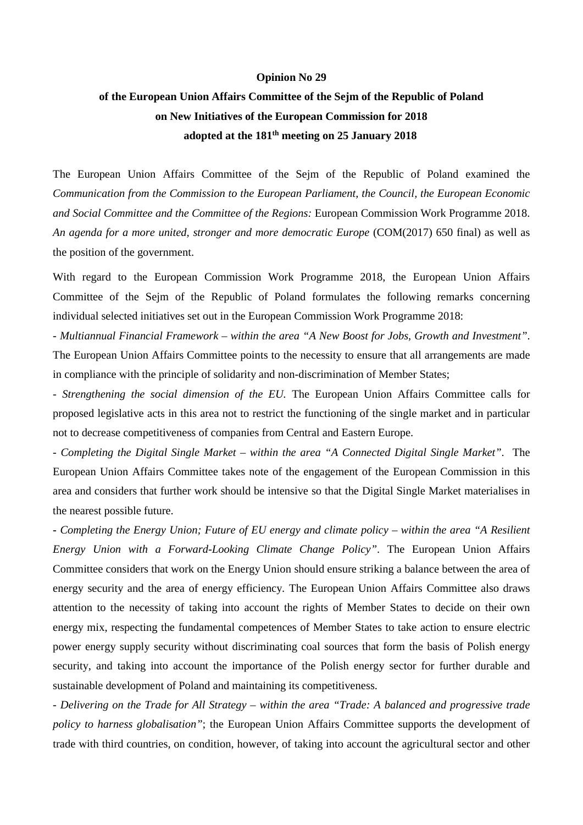## **Opinion No 29**

## **of the European Union Affairs Committee of the Sejm of the Republic of Poland on New Initiatives of the European Commission for 2018 adopted at the 181th meeting on 25 January 2018**

The European Union Affairs Committee of the Sejm of the Republic of Poland examined the *Communication from the Commission to the European Parliament, the Council, the European Economic and Social Committee and the Committee of the Regions:* European Commission Work Programme 2018. *An agenda for a more united, stronger and more democratic Europe* (COM(2017) 650 final) as well as the position of the government.

With regard to the European Commission Work Programme 2018, the European Union Affairs Committee of the Sejm of the Republic of Poland formulates the following remarks concerning individual selected initiatives set out in the European Commission Work Programme 2018:

- *Multiannual Financial Framework – within the area "A New Boost for Jobs, Growth and Investment"*. The European Union Affairs Committee points to the necessity to ensure that all arrangements are made in compliance with the principle of solidarity and non-discrimination of Member States;

- *Strengthening the social dimension of the EU.* The European Union Affairs Committee calls for proposed legislative acts in this area not to restrict the functioning of the single market and in particular not to decrease competitiveness of companies from Central and Eastern Europe.

- *Completing the Digital Single Market – within the area "A Connected Digital Single Market"*. The European Union Affairs Committee takes note of the engagement of the European Commission in this area and considers that further work should be intensive so that the Digital Single Market materialises in the nearest possible future.

**-** *Completing the Energy Union; Future of EU energy and climate policy – within the area "A Resilient Energy Union with a Forward-Looking Climate Change Policy"*. The European Union Affairs Committee considers that work on the Energy Union should ensure striking a balance between the area of energy security and the area of energy efficiency. The European Union Affairs Committee also draws attention to the necessity of taking into account the rights of Member States to decide on their own energy mix, respecting the fundamental competences of Member States to take action to ensure electric power energy supply security without discriminating coal sources that form the basis of Polish energy security, and taking into account the importance of the Polish energy sector for further durable and sustainable development of Poland and maintaining its competitiveness.

- *Delivering on the Trade for All Strategy – within the area "Trade: A balanced and progressive trade policy to harness globalisation"*; the European Union Affairs Committee supports the development of trade with third countries, on condition, however, of taking into account the agricultural sector and other